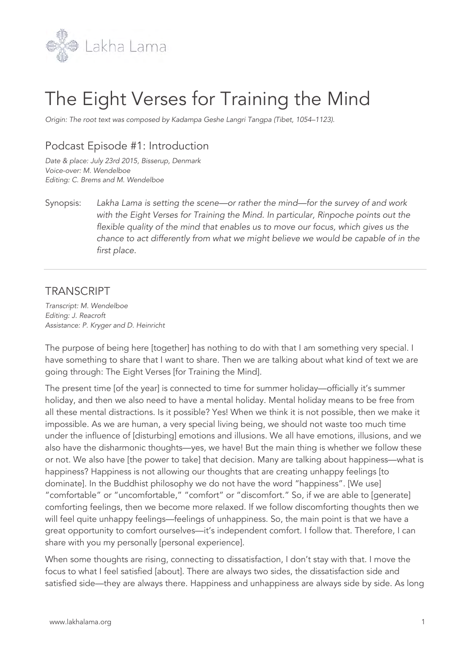

# The Eight Verses for Training the Mind

*Origin: The root text was composed by Kadampa Geshe Langri Tangpa (Tibet, 1054–1123).*

## Podcast Episode #1: Introduction

*Date & place: July 23rd 2015, Bisserup, Denmark Voice-over: M. Wendelboe Editing: C. Brems and M. Wendelboe*

Synopsis: *Lakha Lama is setting the scene—or rather the mind—for the survey of and work with the Eight Verses for Training the Mind. In particular, Rinpoche points out the flexible quality of the mind that enables us to move our focus, which gives us the chance to act differently from what we might believe we would be capable of in the first place.*

### **TRANSCRIPT**

*Transcript: M. Wendelboe Editing: J. Reacroft Assistance: P. Kryger and D. Heinricht*

The purpose of being here [together] has nothing to do with that I am something very special. I have something to share that I want to share. Then we are talking about what kind of text we are going through: The Eight Verses [for Training the Mind].

The present time [of the year] is connected to time for summer holiday—officially it's summer holiday, and then we also need to have a mental holiday. Mental holiday means to be free from all these mental distractions. Is it possible? Yes! When we think it is not possible, then we make it impossible. As we are human, a very special living being, we should not waste too much time under the influence of [disturbing] emotions and illusions. We all have emotions, illusions, and we also have the disharmonic thoughts—yes, we have! But the main thing is whether we follow these or not. We also have [the power to take] that decision. Many are talking about happiness—what is happiness? Happiness is not allowing our thoughts that are creating unhappy feelings [to dominate]. In the Buddhist philosophy we do not have the word "happiness". [We use] "comfortable" or "uncomfortable," "comfort" or "discomfort." So, if we are able to [generate] comforting feelings, then we become more relaxed. If we follow discomforting thoughts then we will feel quite unhappy feelings—feelings of unhappiness. So, the main point is that we have a great opportunity to comfort ourselves—it's independent comfort. I follow that. Therefore, I can share with you my personally [personal experience].

When some thoughts are rising, connecting to dissatisfaction, I don't stay with that. I move the focus to what I feel satisfied [about]. There are always two sides, the dissatisfaction side and satisfied side—they are always there. Happiness and unhappiness are always side by side. As long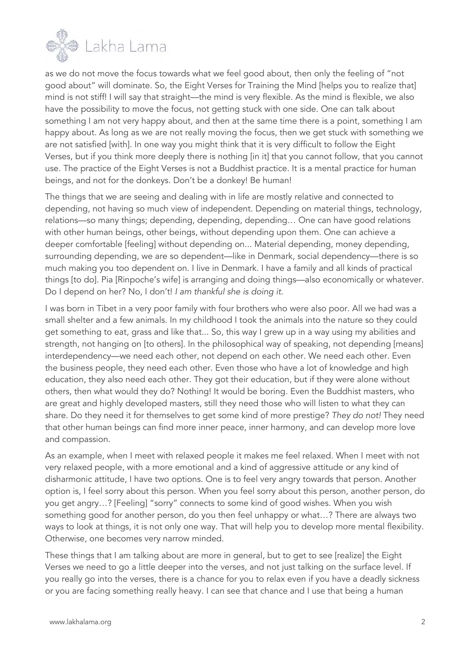

as we do not move the focus towards what we feel good about, then only the feeling of "not good about" will dominate. So, the Eight Verses for Training the Mind [helps you to realize that] mind is not stiff! I will say that straight—the mind is very flexible. As the mind is flexible, we also have the possibility to move the focus, not getting stuck with one side. One can talk about something I am not very happy about, and then at the same time there is a point, something I am happy about. As long as we are not really moving the focus, then we get stuck with something we are not satisfied [with]. In one way you might think that it is very difficult to follow the Eight Verses, but if you think more deeply there is nothing [in it] that you cannot follow, that you cannot use. The practice of the Eight Verses is not a Buddhist practice. It is a mental practice for human beings, and not for the donkeys. Don't be a donkey! Be human!

The things that we are seeing and dealing with in life are mostly relative and connected to depending, not having so much view of independent. Depending on material things, technology, relations—so many things; depending, depending, depending… One can have good relations with other human beings, other beings, without depending upon them. One can achieve a deeper comfortable [feeling] without depending on... Material depending, money depending, surrounding depending, we are so dependent—like in Denmark, social dependency—there is so much making you too dependent on. I live in Denmark. I have a family and all kinds of practical things [to do]. Pia [Rinpoche's wife] is arranging and doing things—also economically or whatever. Do I depend on her? No, I don't! *I am thankful she is doing it*.

I was born in Tibet in a very poor family with four brothers who were also poor. All we had was a small shelter and a few animals. In my childhood I took the animals into the nature so they could get something to eat, grass and like that... So, this way I grew up in a way using my abilities and strength, not hanging on [to others]. In the philosophical way of speaking, not depending [means] interdependency—we need each other, not depend on each other. We need each other. Even the business people, they need each other. Even those who have a lot of knowledge and high education, they also need each other. They got their education, but if they were alone without others, then what would they do? Nothing! It would be boring. Even the Buddhist masters, who are great and highly developed masters, still they need those who will listen to what they can share. Do they need it for themselves to get some kind of more prestige? *They do not!* They need that other human beings can find more inner peace, inner harmony, and can develop more love and compassion.

As an example, when I meet with relaxed people it makes me feel relaxed. When I meet with not very relaxed people, with a more emotional and a kind of aggressive attitude or any kind of disharmonic attitude, I have two options. One is to feel very angry towards that person. Another option is, I feel sorry about this person. When you feel sorry about this person, another person, do you get angry…? [Feeling] "sorry" connects to some kind of good wishes. When you wish something good for another person, do you then feel unhappy or what…? There are always two ways to look at things, it is not only one way. That will help you to develop more mental flexibility. Otherwise, one becomes very narrow minded.

These things that I am talking about are more in general, but to get to see [realize] the Eight Verses we need to go a little deeper into the verses, and not just talking on the surface level. If you really go into the verses, there is a chance for you to relax even if you have a deadly sickness or you are facing something really heavy. I can see that chance and I use that being a human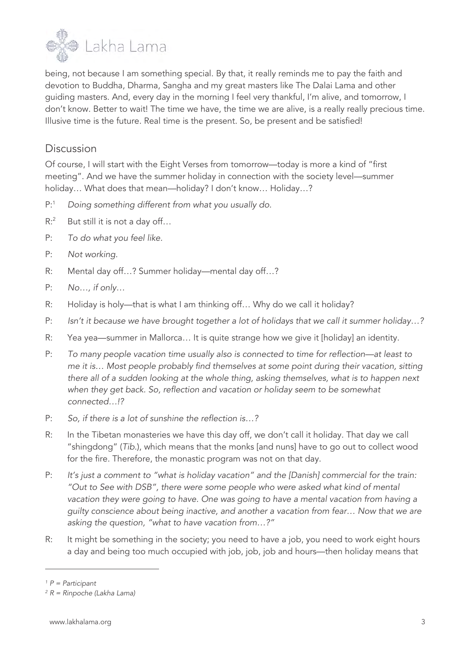

being, not because I am something special. By that, it really reminds me to pay the faith and devotion to Buddha, Dharma, Sangha and my great masters like The Dalai Lama and other guiding masters. And, every day in the morning I feel very thankful, I'm alive, and tomorrow, I don't know. Better to wait! The time we have, the time we are alive, is a really really precious time. Illusive time is the future. Real time is the present. So, be present and be satisfied!

#### Discussion

Of course, I will start with the Eight Verses from tomorrow—today is more a kind of "first meeting". And we have the summer holiday in connection with the society level—summer holiday… What does that mean—holiday? I don't know… Holiday…?

- P:1 *Doing something different from what you usually do.*
- R:<sup>2</sup> But still it is not a day off...
- P: *To do what you feel like.*
- P: *Not working.*
- R: Mental day off…? Summer holiday—mental day off…?
- P: *No…, if only…*
- R: Holiday is holy—that is what I am thinking off… Why do we call it holiday?
- P: *Isn't it because we have brought together a lot of holidays that we call it summer holiday…?*
- R: Yea yea—summer in Mallorca… It is quite strange how we give it [holiday] an identity.
- P: *To many people vacation time usually also is connected to time for reflection—at least to me it is… Most people probably find themselves at some point during their vacation, sitting there all of a sudden looking at the whole thing, asking themselves, what is to happen next when they get back. So, reflection and vacation or holiday seem to be somewhat connected…!?*
- P: *So, if there is a lot of sunshine the reflection is…?*
- R: In the Tibetan monasteries we have this day off, we don't call it holiday. That day we call "shingdong" (*Tib*.), which means that the monks [and nuns] have to go out to collect wood for the fire. Therefore, the monastic program was not on that day.
- P: *It's just a comment to "what is holiday vacation" and the [Danish] commercial for the train: "Out to See with DSB", there were some people who were asked what kind of mental vacation they were going to have. One was going to have a mental vacation from having a guilty conscience about being inactive, and another a vacation from fear… Now that we are asking the question, "what to have vacation from…?"*
- R: It might be something in the society; you need to have a job, you need to work eight hours a day and being too much occupied with job, job, job and hours—then holiday means that

*<sup>1</sup> P = Participant*

*<sup>2</sup> R = Rinpoche (Lakha Lama)*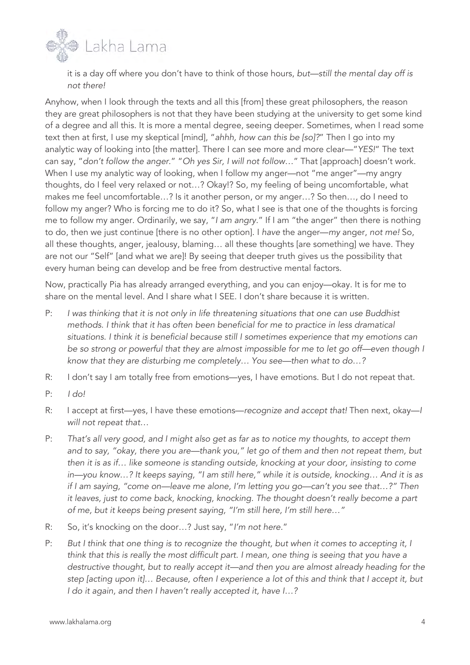

it is a day off where you don't have to think of those hours, *but—still the mental day off is not there!*

Anyhow, when I look through the texts and all this [from] these great philosophers, the reason they are great philosophers is not that they have been studying at the university to get some kind of a degree and all this. It is more a mental degree, seeing deeper. Sometimes, when I read some text then at first, I use my skeptical [mind], "*ahhh, how can this be [so]?*" Then I go into my analytic way of looking into [the matter]. There I can see more and more clear—"*YES!*" The text can say, "*don't follow the anger*." "*Oh yes Sir, I will not follow…*" That [approach] doesn't work. When I use my analytic way of looking, when I follow my anger—not "me anger"—my angry thoughts, do I feel very relaxed or not…? Okay!? So, my feeling of being uncomfortable, what makes me feel uncomfortable…? Is it another person, or my anger…? So then…, do I need to follow my anger? Who is forcing me to do it? So, what I see is that one of the thoughts is forcing me to follow my anger. Ordinarily, we say, "*I am angry.*" If I am "the anger" then there is nothing to do, then we just continue [there is no other option]. I *have* the anger—*my* anger, *not me!* So, all these thoughts, anger, jealousy, blaming… all these thoughts [are something] we have. They are not our "Self" [and what we are]! By seeing that deeper truth gives us the possibility that every human being can develop and be free from destructive mental factors.

Now, practically Pia has already arranged everything, and you can enjoy—okay. It is for me to share on the mental level. And I share what I SEE. I don't share because it is written.

- P: *I was thinking that it is not only in life threatening situations that one can use Buddhist methods. I think that it has often been beneficial for me to practice in less dramatical situations. I think it is beneficial because still I sometimes experience that my emotions can be so strong or powerful that they are almost impossible for me to let go off—even though I know that they are disturbing me completely… You see—then what to do…?*
- R: I don't say I am totally free from emotions—yes, I have emotions. But I do not repeat that.
- P: *I do!*
- R: I accept at first—yes, I have these emotions—*recognize and accept that!* Then next, okay—*I will not repeat that*…
- P: *That's all very good, and I might also get as far as to notice my thoughts, to accept them and to say, "okay, there you are—thank you," let go of them and then not repeat them, but then it is as if… like someone is standing outside, knocking at your door, insisting to come in—you know…? It keeps saying, "I am still here," while it is outside, knocking… And it is as if I am saying, "come on—leave me alone, I'm letting you go—can't you see that…?" Then it leaves, just to come back, knocking, knocking. The thought doesn't really become a part of me, but it keeps being present saying, "I'm still here, I'm still here…"*
- R: So, it's knocking on the door…? Just say, "*I'm not here.*"
- P: But I think that one thing is to recognize the thought, but when it comes to accepting it, I think that this is really the most difficult part. I mean, one thing is seeing that you have a *destructive thought, but to really accept it—and then you are almost already heading for the step [acting upon it]… Because, often I experience a lot of this and think that I accept it, but I do it again, and then I haven't really accepted it, have I…?*